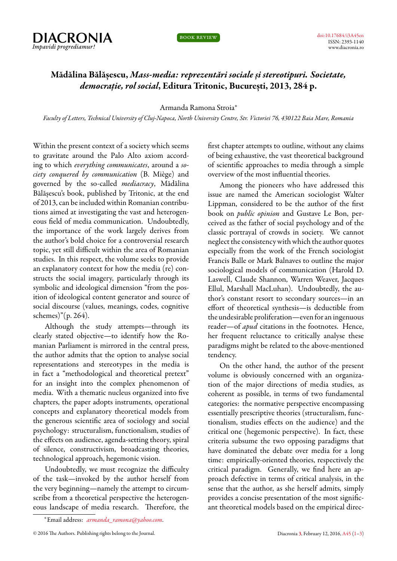

book review

## **Mădălina Bălășescu,** *Mass-media: reprezentări sociale și stereotipuri. Societate, democrație, rol social***, Editura Tritonic, București, 2013, 284 p.**

Armanda Ramona Stroia*<sup>∗</sup>*

*Faculty of Letters, Technical University of Cluj-Napoca, North University Centre, Str. Victoriei 76, 430122 Baia Mare, Romania*

<span id="page-0-0"></span>Within the present context of a society which seems to gravitate around the Palo Alto axiom according to which *everything communicates*, around a *society conquered by communication* (B. Miège) and governed by the so-called *mediacracy*, Mădălina Bălășescu's book, published by Tritonic, at the end of 2013, can be included within Romanian contributions aimed at investigating the vast and heterogeneous field of media communication. Undoubtedly, the importance of the work largely derives from the author's bold choice for a controversial research topic, yet still difficult within the area of Romanian studies. In this respect, the volume seeks to provide an explanatory context for how the media (re) constructs the social imagery, particularly through its symbolic and ideological dimension "from the position of ideological content generator and source of social discourse (values, meanings, codes, cognitive schemes)"(p. 264).

Although the study attempts—through its clearly stated objective—to identify how the Romanian Parliament is mirrored in the central press, the author admits that the option to analyse social representations and stereotypes in the media is in fact a "methodological and theoretical pretext" for an insight into the complex phenomenon of media. With a thematic nucleus organized into five chapters, the paper adopts instruments, operational concepts and explanatory theoretical models from the generous scientific area of sociology and social psychology: structuralism, functionalism, studies of the effects on audience, agenda-setting theory, spiral of silence, constructivism, broadcasting theories, technological approach, hegemonic vision.

Undoubtedly, we must recognize the difficulty of the task—invoked by the author herself from the very beginning—namely the attempt to circumscribe from a theoretical perspective the heterogeneous landscape of media research. Therefore, the

first chapter attempts to outline, without any claims of being exhaustive, the vast theoretical background of scientific approaches to media through a simple overview of the most influential theories.

Among the pioneers who have addressed this issue are named the American sociologist Walter Lippman, considered to be the author of the first book on *public opinion* and Gustave Le Bon, perceived as the father of social psychology and of the classic portrayal of crowds in society. We cannot neglect the consistency with which the author quotes especially from the work of the French sociologist Francis Balle or Mark Balnaves to outline the major sociological models of communication (Harold D. Laswell, Claude Shannon, Warren Weaver, Jacques Ellul, Marshall MacLuhan). Undoubtedly, the author's constant resort to secondary sources—in an effort of theoretical synthesis—is deductible from the undesirable proliferation—even for an ingenuous reader—of *apud* citations in the footnotes. Hence, her frequent reluctance to critically analyse these paradigms might be related to the above-mentioned tendency.

On the other hand, the author of the present volume is obviously concerned with an organization of the major directions of media studies, as coherent as possible, in terms of two fundamental categories: the normative perspective encompassing essentially prescriptive theories (structuralism, functionalism, studies effects on the audience) and the critical one (hegemonic perspective). In fact, these criteria subsume the two opposing paradigms that have dominated the debate over media for a long time: empirically-oriented theories, respectively the critical paradigm. Generally, we find here an approach defective in terms of critical analysis, in the sense that the author, as she herself admits, simply provides a concise presentation of the most significant theoretical models based on the empirical direc-

*<sup>∗</sup>*Email address: *[armanda\\_ramona@yahoo.com](mailto:armanda_ramona@yahoo.com)*.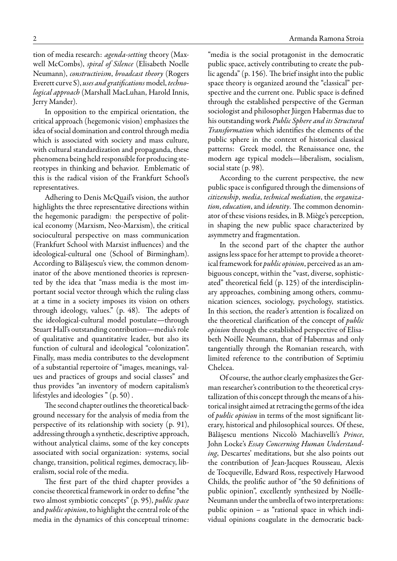tion of media research: *agenda-setting* theory (Maxwell McCombs), *spiral of Silence* (Elisabeth Noelle Neumann), *constructivism*, *broadcast theory* (Rogers Everett curve S), *uses and gratifications*model, *technological approach* (Marshall MacLuhan, Harold Innis, Jerry Mander).

In opposition to the empirical orientation, the critical approach (hegemonic vision) emphasizes the idea of social domination and control through media which is associated with society and mass culture, with cultural standardization and propaganda, these phenomena being held responsible for producing stereotypes in thinking and behavior. Emblematic of this is the radical vision of the Frankfurt School's representatives.

Adhering to Denis McQuail's vision, the author highlights the three representative directions within the hegemonic paradigm: the perspective of political economy (Marxism, Neo-Marxism), the critical sociocultural perspective on mass communication (Frankfurt School with Marxist influences) and the ideological-cultural one (School of Birmingham). According to Bălășescu's view, the common denominator of the above mentioned theories is represented by the idea that "mass media is the most important social vector through which the ruling class at a time in a society imposes its vision on others through ideology, values." (p. 48). The adepts of the ideological-cultural model postulate—through Stuart Hall's outstanding contribution—media's role of qualitative and quantitative leader, but also its function of cultural and ideological "colonization". Finally, mass media contributes to the development of a substantial repertoire of "images, meanings, values and practices of groups and social classes" and thus provides "an inventory of modern capitalism's lifestyles and ideologies " (p. 50) .

The second chapter outlines the theoretical background necessary for the analysis of media from the perspective of its relationship with society (p. 91), addressing through a synthetic, descriptive approach, without analytical claims, some of the key concepts associated with social organization: systems, social change, transition, political regimes, democracy, liberalism, social role of the media.

The first part of the third chapter provides a concise theoretical framework in order to define "the two almost symbiotic concepts" (p. 95), *public space* and *public opinion*, to highlight the central role of the media in the dynamics of this conceptual trinome:

"media is the social protagonist in the democratic public space, actively contributing to create the public agenda" (p. 156). The brief insight into the public space theory is organized around the "classical" perspective and the current one. Public space is defined through the established perspective of the German sociologist and philosopher Jürgen Habermas due to his outstanding work *Public Sphere and its Structural*

*Transformation* which identifies the elements of the public sphere in the context of historical classical patterns: Greek model, the Renaissance one, the modern age typical models—liberalism, socialism, social state (p. 98).

According to the current perspective, the new public space is configured through the dimensions of *citizenship*, *media*, *technical mediation*, the *organization*, *education*, and *identity*. The common denominator of these visions resides, in B. Miège's perception, in shaping the new public space characterized by asymmetry and fragmentation.

In the second part of the chapter the author assigns less space for her attempt to provide a theoretical framework for *public opinion*, perceived as an ambiguous concept, within the "vast, diverse, sophisticated" theoretical field (p. 125) of the interdisciplinary approaches, combining among others, communication sciences, sociology, psychology, statistics. In this section, the reader's attention is focalized on the theoretical clarification of the concept of *public opinion* through the established perspective of Elisabeth Noëlle Neumann, that of Habermas and only tangentially through the Romanian research, with limited reference to the contribution of Septimiu Chelcea.

Of course, the author clearly emphasizes the German researcher's contribution to the theoretical crystallization of this concept through the means of a historical insight aimed at retracing the germs of the idea of *public opinion* in terms of the most significant literary, historical and philosophical sources. Of these, Bălășescu mentions Niccolò Machiavelli's *Prince*, John Locke's *Essay Concerning Human Understanding*, Descartes' meditations, but she also points out the contribution of Jean-Jacques Rousseau, Alexis de Tocqueville, Edward Ross, respectively Harwood Childs, the prolific author of "the 50 definitions of public opinion", excellently synthesized by Noëlle-Neumann under the umbrella of two interpretations: public opinion – as "rational space in which individual opinions coagulate in the democratic back